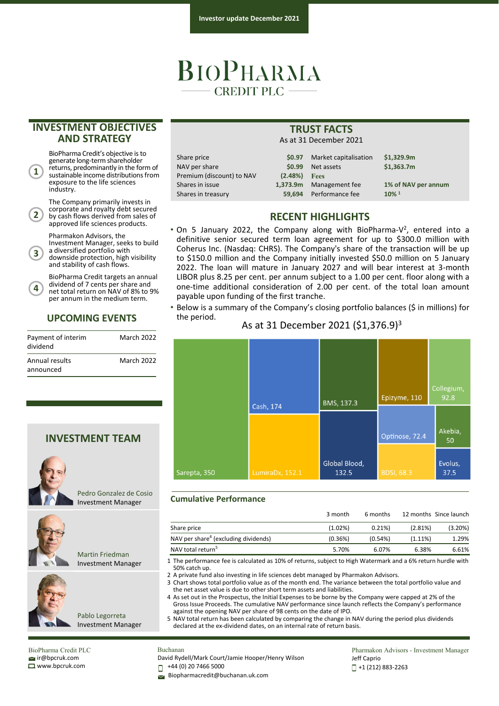# BIOPHARMA **CREDIT PLC**

 $Shares in issue$ **Shares in treasury** 

## **INVESTMENT OBJECTIVES AND STRATEGY**

BioPharma Credit's objective isto generate long-term shareholder returns, predominantly in the form of sustainable income distributions from exposure to the life sciences

The Company primarily invests in corporate and royalty debt secured by cash flows derived from sales of approved life sciences products. Pharmakon Advisors, the

Investment Manager, seeks to build <sup>a</sup> diversified portfolio with downside protection, high visibility and stability of cash flows.

BioPharma Credit targets an annual dividend of 7 cents per share and net total return on NAV of 8% to 9% per annum in the medium term.

March 2022

March 2022

**UPCOMING EVENTS**

**INVESTMENT TEAM**

Pedro Gonzalez de Cosio Investment Manager

Martin Friedman Investment Manager

Pablo Legorreta

industry.

**1**

**2**

**3**

**4**

dividend

Annual results announced

Payment of interim

**TRUST FACTS** As at 31 December 2021

Share price **\$0.97** Market capitalisation **\$1,329.9m NAV per share Premium (discount)** 

|          |                | \$0.99 Net assets       | \$1.363.7m          |  |
|----------|----------------|-------------------------|---------------------|--|
| ) to NAV | $(2.48%)$ Fees |                         |                     |  |
|          |                | 1,373.9m Management fee | 1% of NAV per annum |  |
|          |                | 59.694 Performance fee  | $10\%$ <sup>1</sup> |  |
|          |                |                         |                     |  |

# **RECENT HIGHLIGHTS**

- On 5 January 2022, the Company along with BioPharma-V<sup>2</sup>, entered into a definitive senior secured term loan agreement for up to \$300.0 million with Coherus Inc. (Nasdaq: CHRS). The Company's share of the transaction will be up to \$150.0 million and the Company initially invested \$50.0 million on 5 January 2022. The loan will mature in January 2027 and will bear interest at 3‐month LIBOR plus 8.25 per cent. per annum subject to a 1.00 per cent. floor along with a one‐time additional consideration of 2.00 per cent. of the total loan amount payable upon funding of the first tranche.
- Below is a summary of the Company's closing portfolio balances (\$ in millions) for the period.

### As at 31 December 2021 (\$1,376.9)3



#### **Cumulative Performance**

|                                                  | 3 month    | 6 months   |            | 12 months Since launch |
|--------------------------------------------------|------------|------------|------------|------------------------|
| Share price                                      | $(1.02\%)$ | $0.21\%$   | (2.81%)    | (3.20%)                |
| NAV per share <sup>4</sup> (excluding dividends) | (0.36%)    | $(0.54\%)$ | $(1.11\%)$ | 1.29%                  |
| NAV total return <sup>5</sup>                    | 5.70%      | 6.07%      | 6.38%      | 6.61%                  |

1 The performance fee is calculated as 10% of returns, subject to High Watermark and a 6% return hurdle with 50% catch up.

2 A private fund also investing in life sciences debt managed by Pharmakon Advisors.

3 Chart shows total portfolio value as of the month end. The variance between the total portfolio value and the net asset value is due to other short term assets and liabilities.

4 As set out in the Prospectus, the Initial Expenses to be borne by the Company were capped at 2% of the Gross Issue Proceeds. The cumulative NAV performance since launch reflects the Company's performance against the opening NAV per share of 98 cents on the date of IPO.

5 NAV total return has been calculated by comparing the change in NAV during the period plus dividends declared at the ex-dividend dates, on an internal rate of return basis.

BioPharma Credit PLC  $\leq$ ir@bpcruk.com www.bpcruk.com

Investment Manager

Buchanan David Rydell/Mark Court/Jamie Hooper/Henry Wilson

+44 (0) 20 7466 5000 П

Biopharmacredit@buchanan.uk.com

Pharmakon Advisors - Investment Manager Jeff Caprio +1 (212) 883‐2263